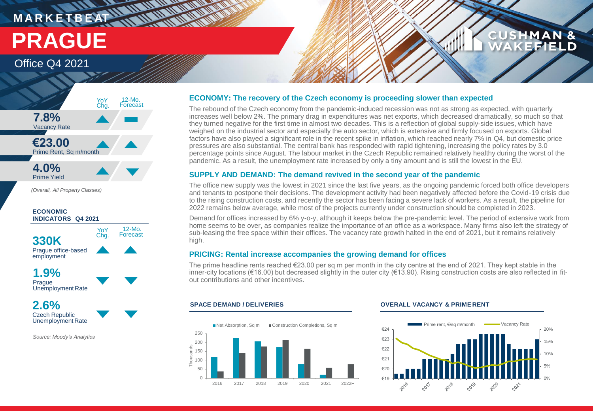## **MARKETBEATHLIN WATERWAY PRAGUE**

### Office Q4 2021



*(Overall, All Property Classes)*

### **1.9% Prague** Unemployment Rate **330K** Prague office-based employment **ECONOMIC INDICATORS Q4 2021** 12-Mo. Forecast YoY<br>Chg.

**2.6%** Czech Republic Unemployment Rate

*Source: Moody's Analytics*

### **ECONOMY: The recovery of the Czech economy is proceeding slower than expected**

The rebound of the Czech economy from the pandemic-induced recession was not as strong as expected, with quarterly increases well below 2%. The primary drag in expenditures was net exports, which decreased dramatically, so much so that they turned negative for the first time in almost two decades. This is a reflection of global supply-side issues, which have weighed on the industrial sector and especially the auto sector, which is extensive and firmly focused on exports. Global factors have also played a significant role in the recent spike in inflation, which reached nearly 7% in Q4, but domestic price pressures are also substantial. The central bank has responded with rapid tightening, increasing the policy rates by 3.0 percentage points since August. The labour market in the Czech Republic remained relatively healthy during the worst of the pandemic. As a result, the unemployment rate increased by only a tiny amount and is still the lowest in the EU.

### **SUPPLY AND DEMAND: The demand revived in the second year of the pandemic**

The office new supply was the lowest in 2021 since the last five years, as the ongoing pandemic forced both office developers and tenants to postpone their decisions. The development activity had been negatively affected before the Covid-19 crisis due to the rising construction costs, and recently the sector has been facing a severe lack of workers. As a result, the pipeline for 2022 remains below average, while most of the projects currently under construction should be completed in 2023.

Demand for offices increased by 6% y-o-y, although it keeps below the pre-pandemic level. The period of extensive work from home seems to be over, as companies realize the importance of an office as a workspace. Many firms also left the strategy of sub-leasing the free space within their offices. The vacancy rate growth halted in the end of 2021, but it remains relatively high.

### **PRICING: Rental increase accompanies the growing demand for offices**

The prime headline rents reached  $E$ 23.00 per sq m per month in the city centre at the end of 2021. They kept stable in the inner-city locations (€16.00) but decreased slightly in the outer city (€13.90). Rising construction costs are also reflected in fitout contributions and other incentives.

### 0 50 100 150 200 250 2016 2017 2018 2019 2020 2021 2022F  $\overline{Q}$ ■Net Absorption, Sq m ■ Construction Completions, Sq m

### **SPACE DEMAND / DELIVERIES OVERALL VACANCY & PRIME RENT**



**CUSHMAN &** 

**EFIELD**